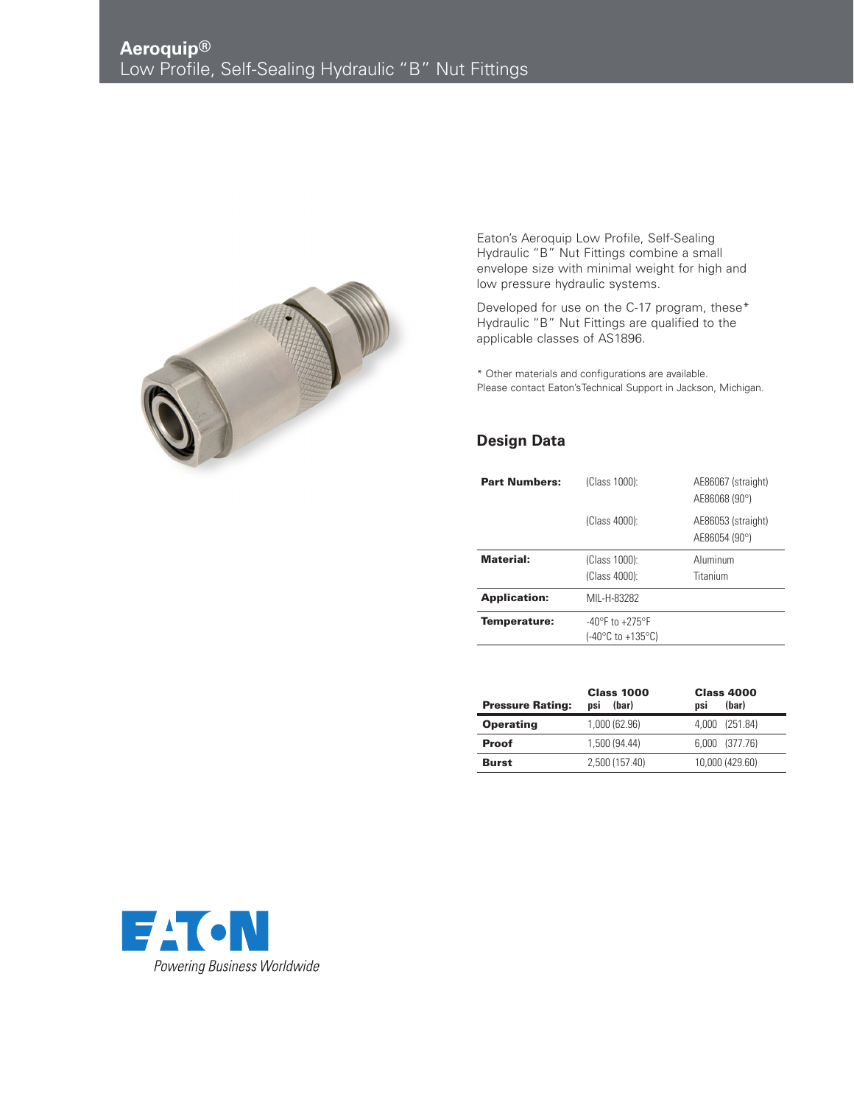

Eaton's Aeroquip Low Profile, Self-Sealing Hydraulic "B" Nut Fittings combine a small envelope size with minimal weight for high and low pressure hydraulic systems.

Developed for use on the C-17 program, these\* Hydraulic "B" Nut Fittings are qualified to the applicable classes of AS1896.

\* Other materials and configurations are available. Please contact Eaton'sTechnical Support in Jackson, Michigan.

## **Design Data**

| <b>Part Numbers:</b> | (Class 1000):                                            | AE86067 (straight)<br>AE86068 (90°) |  |
|----------------------|----------------------------------------------------------|-------------------------------------|--|
|                      | (Class 4000):                                            | AE86053 (straight)<br>AE86054 (90°) |  |
| Material:            | (Class 1000):<br>(Class 4000):                           | Aluminum<br>Titanium                |  |
| <b>Application:</b>  | MIL-H-83282                                              |                                     |  |
| Temperature:         | $-40^{\circ}$ F to $+275^{\circ}$ F<br>(-40°C to +135°C) |                                     |  |

| <b>Pressure Rating:</b> | <b>Class 1000</b><br>(bar)<br>nsi | <b>Class 4000</b><br>(bar)<br>nsi |
|-------------------------|-----------------------------------|-----------------------------------|
| <b>Operating</b>        | 1,000 (62.96)                     | 4,000 (251.84)                    |
| <b>Proof</b>            | 1,500 (94.44)                     | 6,000 (377.76)                    |
| <b>Burst</b>            | 2.500 (157.40)                    | 10,000 (429.60)                   |